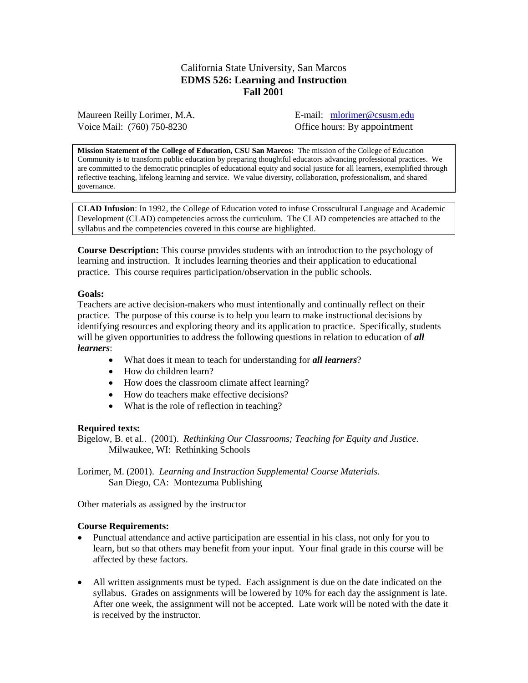## California State University, San Marcos **EDMS 526: Learning and Instruction Fall 2001**

Maureen Reilly Lorimer, M.A. **E-mail:** [mlorimer@csusm.edu](mailto:m3lorimer@iwon.com) Voice Mail: (760) 750-8230 Office hours: By appointment

**Mission Statement of the College of Education, CSU San Marcos:** The mission of the College of Education Community is to transform public education by preparing thoughtful educators advancing professional practices. We are committed to the democratic principles of educational equity and social justice for all learners, exemplified through reflective teaching, lifelong learning and service. We value diversity, collaboration, professionalism, and shared governance.

**CLAD Infusion**: In 1992, the College of Education voted to infuse Crosscultural Language and Academic Development (CLAD) competencies across the curriculum. The CLAD competencies are attached to the syllabus and the competencies covered in this course are highlighted.

**Course Description:** This course provides students with an introduction to the psychology of learning and instruction. It includes learning theories and their application to educational practice. This course requires participation/observation in the public schools.

#### **Goals:**

Teachers are active decision-makers who must intentionally and continually reflect on their practice. The purpose of this course is to help you learn to make instructional decisions by identifying resources and exploring theory and its application to practice. Specifically, students will be given opportunities to address the following questions in relation to education of *all learners*:

- What does it mean to teach for understanding for *all learners*?
- How do children learn?
- How does the classroom climate affect learning?
- How do teachers make effective decisions?
- What is the role of reflection in teaching?

#### **Required texts:**

Bigelow, B. et al.. (2001). *Rethinking Our Classrooms; Teaching for Equity and Justice*. Milwaukee, WI: Rethinking Schools

Lorimer, M. (2001). *Learning and Instruction Supplemental Course Materials*. San Diego, CA: Montezuma Publishing

Other materials as assigned by the instructor

### **Course Requirements:**

- Punctual attendance and active participation are essential in his class, not only for you to learn, but so that others may benefit from your input. Your final grade in this course will be affected by these factors.
- All written assignments must be typed. Each assignment is due on the date indicated on the syllabus. Grades on assignments will be lowered by 10% for each day the assignment is late. After one week, the assignment will not be accepted. Late work will be noted with the date it is received by the instructor.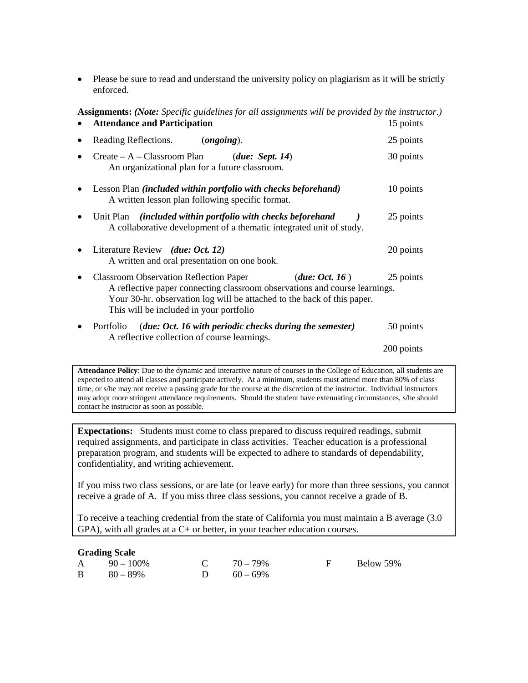• Please be sure to read and understand the university policy on plagiarism as it will be strictly enforced.

| <b>Assignments:</b> (Note: Specific guidelines for all assignments will be provided by the instructor.)<br><b>Attendance and Participation</b>                                                                                                                                   | 15 points  |  |  |  |
|----------------------------------------------------------------------------------------------------------------------------------------------------------------------------------------------------------------------------------------------------------------------------------|------------|--|--|--|
| Reading Reflections.<br>(ongoing).                                                                                                                                                                                                                                               | 25 points  |  |  |  |
| $Create - A - Classroom Plan$<br>(due: Sept. 14)<br>An organizational plan for a future classroom.                                                                                                                                                                               | 30 points  |  |  |  |
| Lesson Plan <i>(included within portfolio with checks beforehand)</i><br>A written lesson plan following specific format.                                                                                                                                                        | 10 points  |  |  |  |
| Unit Plan (included within portfolio with checks beforehand<br>A collaborative development of a thematic integrated unit of study.                                                                                                                                               | 25 points  |  |  |  |
| Literature Review (due: Oct. 12)<br>A written and oral presentation on one book.                                                                                                                                                                                                 | 20 points  |  |  |  |
| <b>Classroom Observation Reflection Paper</b><br>(due: Oct. 16)<br>25 points<br>A reflective paper connecting classroom observations and course learnings.<br>Your 30-hr. observation log will be attached to the back of this paper.<br>This will be included in your portfolio |            |  |  |  |
| (due: Oct. 16 with periodic checks during the semester)<br>Portfolio<br>A reflective collection of course learnings.                                                                                                                                                             | 50 points  |  |  |  |
|                                                                                                                                                                                                                                                                                  | 200 points |  |  |  |

**Attendance Policy**: Due to the dynamic and interactive nature of courses in the College of Education, all students are expected to attend all classes and participate actively. At a minimum, students must attend more than 80% of class time, or s/he may not receive a passing grade for the course at the discretion of the instructor. Individual instructors may adopt more stringent attendance requirements. Should the student have extenuating circumstances, s/he should contact he instructor as soon as possible.

**Expectations:** Students must come to class prepared to discuss required readings, submit required assignments, and participate in class activities. Teacher education is a professional preparation program, and students will be expected to adhere to standards of dependability, confidentiality, and writing achievement.

If you miss two class sessions, or are late (or leave early) for more than three sessions, you cannot receive a grade of A. If you miss three class sessions, you cannot receive a grade of B.

To receive a teaching credential from the state of California you must maintain a B average (3.0  $GPA$ ), with all grades at a  $C+$  or better, in your teacher education courses.

### **Grading Scale**

| $A = 90 - 100\%$ | C $70-79\%$ | F Below 59% |
|------------------|-------------|-------------|
| $B = 80 - 89\%$  | D $60-69\%$ |             |